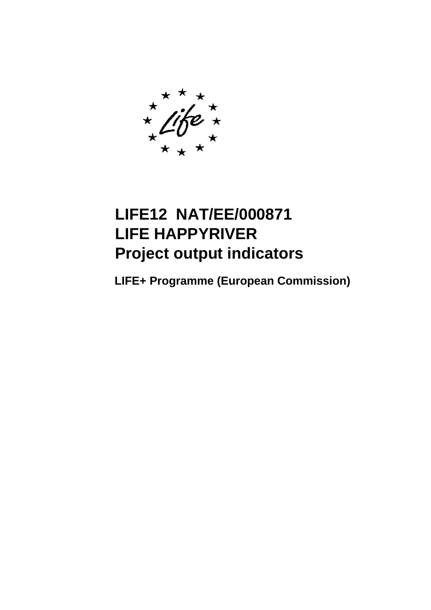# **LIFE12 NAT/EE/000871 LIFE HAPPYRIVER Project output indicators**

**LIFE+ Programme (European Commission)**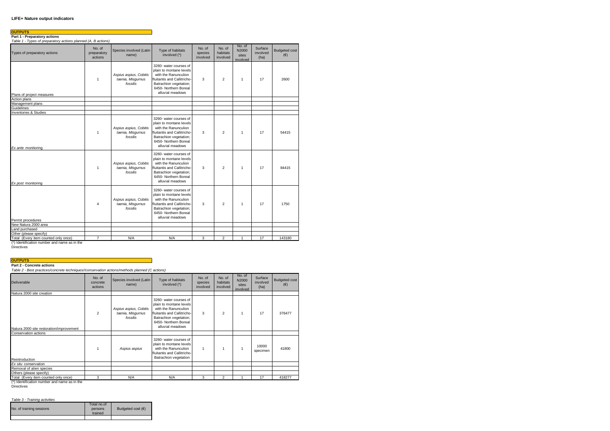#### **LIFE+ Nature output indicators**

| <b>OUTPUTS</b><br>Part 1 - Preparatory actions<br>Table 1 - Types of preparatory actions planned (A, B actions) |                                  |                                                         |                                                                                                                                                                                 |                               |                                |                                      |                             |                                 |
|-----------------------------------------------------------------------------------------------------------------|----------------------------------|---------------------------------------------------------|---------------------------------------------------------------------------------------------------------------------------------------------------------------------------------|-------------------------------|--------------------------------|--------------------------------------|-----------------------------|---------------------------------|
| Types of preparatory actions                                                                                    | No. of<br>preparatory<br>actions | Species involved (Latin<br>name)                        | Type of habitats<br>involved (*)                                                                                                                                                | No. of<br>species<br>involved | No. of<br>habitats<br>involved | No. of<br>N2000<br>sites<br>involved | Surface<br>involved<br>(ha) | <b>Budgeted cost</b><br>$(\in)$ |
| Plans of project measures                                                                                       | 1                                | Aspius aspius, Cobitis<br>taenia, Misgurnus<br>fossilis | 3260- water courses of<br>plain to montane levels<br>with the Ranunculion<br>fluitantis and Callitricho-<br>Batrachion vegetation;<br>6450- Northern Boreal<br>alluvial meadows | 3                             | $\overline{2}$                 | 1                                    | 17                          | 2600                            |
| Action plans                                                                                                    |                                  |                                                         |                                                                                                                                                                                 |                               |                                |                                      |                             |                                 |
| Management plans                                                                                                |                                  |                                                         |                                                                                                                                                                                 |                               |                                |                                      |                             |                                 |
| Guidelines                                                                                                      |                                  |                                                         |                                                                                                                                                                                 |                               |                                |                                      |                             |                                 |
| <b>Inventories &amp; Studies</b>                                                                                |                                  |                                                         |                                                                                                                                                                                 |                               |                                |                                      |                             |                                 |
| Ex ante monitoring                                                                                              | $\mathbf{1}$                     | Aspius aspius, Cobitis<br>taenia, Misqurnus<br>fossilis | 3260- water courses of<br>plain to montane levels<br>with the Ranunculion<br>fluitantis and Callitricho-<br>Batrachion vegetation;<br>6450- Northern Boreal<br>alluvial meadows | 3                             | $\overline{2}$                 | 1                                    | 17                          | 54415                           |
| Ex post monitoring                                                                                              | $\mathbf{1}$                     | Aspius aspius, Cobitis<br>taenia, Misqurnus<br>fossilis | 3260- water courses of<br>plain to montane levels<br>with the Ranunculion<br>fluitantis and Callitricho-<br>Batrachion vegetation;<br>6450- Northern Boreal<br>alluvial meadows | 3                             | $\mathfrak{p}$                 | $\mathbf{1}$                         | 17                          | 84415                           |
| Permit procedures                                                                                               | 4                                | Aspius aspius, Cobitis<br>taenia, Misgurnus<br>fossilis | 3260- water courses of<br>plain to montane levels<br>with the Ranunculion<br>fluitantis and Callitricho-<br>Batrachion vegetation;<br>6450- Northern Boreal<br>alluvial meadows | 3                             | $\overline{2}$                 | 1                                    | 17                          | 1750                            |
| New Natura 2000 area                                                                                            |                                  |                                                         |                                                                                                                                                                                 |                               |                                |                                      |                             |                                 |
| Land purchased                                                                                                  |                                  |                                                         |                                                                                                                                                                                 |                               |                                |                                      |                             |                                 |
| Other (please specify)                                                                                          |                                  |                                                         |                                                                                                                                                                                 |                               |                                |                                      |                             |                                 |
| Total (Every item counted only once)                                                                            | $\overline{7}$                   | N/A                                                     | N/A                                                                                                                                                                             | 3                             | $\overline{a}$                 | $\mathbf{1}$                         | 17                          | 143180                          |
|                                                                                                                 |                                  |                                                         |                                                                                                                                                                                 |                               |                                |                                      |                             |                                 |

# **OUTPUTS Part 2 - Concrete actions**

*Table 2 - Best practices/concrete techniques//conservation actions/methods planned (C actions)*

| <b>Deliverable</b>                       | No. of<br>concrete<br>actions | Species involved (Latin<br>name)                        | Type of habitats<br>involved (*)                                                                                                                                                | No. of<br>species<br>involved | No. of<br>habitats<br>involved | No. of<br>N2000<br>sites<br>involved | Surface<br>involved<br>(ha) | <b>Budgeted cost</b><br>$(\in)$ |
|------------------------------------------|-------------------------------|---------------------------------------------------------|---------------------------------------------------------------------------------------------------------------------------------------------------------------------------------|-------------------------------|--------------------------------|--------------------------------------|-----------------------------|---------------------------------|
| Natura 2000 site creation                |                               |                                                         |                                                                                                                                                                                 |                               |                                |                                      |                             |                                 |
| Natura 2000 site restoration/improvement | $\overline{2}$                | Aspius aspius, Cobitis<br>taenia, Misgurnus<br>fossilis | 3260- water courses of<br>plain to montane levels<br>with the Ranunculion<br>fluitantis and Callitricho-<br>Batrachion vegetation;<br>6450- Northern Boreal<br>alluvial meadows | 3                             | $\mathfrak{p}$                 | 1                                    | 17                          | 376477                          |
| Conservation actions                     |                               |                                                         |                                                                                                                                                                                 |                               |                                |                                      |                             |                                 |
| Reintroduction                           |                               | Aspius aspius                                           | 3260- water courses of<br>plain to montane levels<br>with the Ranunculion<br>fluitantis and Callitricho-<br>Batrachion vegetation                                               | 1                             |                                | 1                                    | 10000<br>specimen           | 41800                           |
| Ex situ conservation                     |                               |                                                         |                                                                                                                                                                                 |                               |                                |                                      |                             |                                 |
| Removal of alien species                 |                               |                                                         |                                                                                                                                                                                 |                               |                                |                                      |                             |                                 |
| Others (please specify)                  |                               |                                                         |                                                                                                                                                                                 |                               |                                |                                      |                             |                                 |
| Total (Every item counted only once)     | 3                             | N/A                                                     | N/A                                                                                                                                                                             | 3                             | $\mathfrak{p}$                 |                                      | 17                          | 418277                          |

(\*) Identification number and name as in the

Directives

#### *Table 3 - Training activities*

|                          | Total no.of |                            |
|--------------------------|-------------|----------------------------|
| No. of training sessions | persons     | Budgeted cost $(\epsilon)$ |
|                          | trained     |                            |
|                          |             |                            |